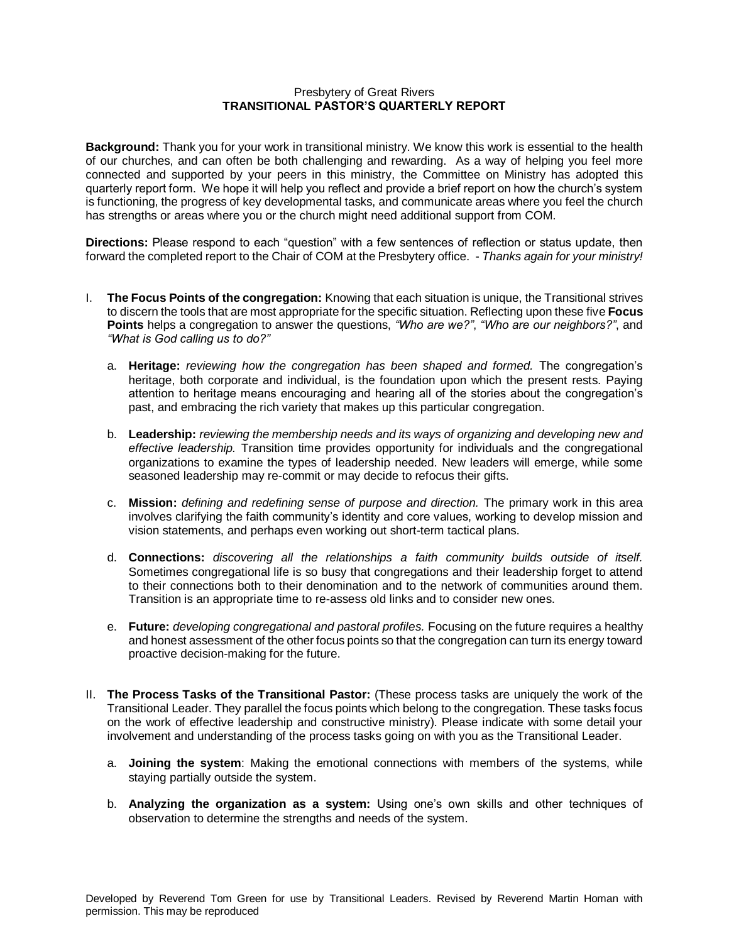## Presbytery of Great Rivers **TRANSITIONAL PASTOR'S QUARTERLY REPORT**

**Background:** Thank you for your work in transitional ministry. We know this work is essential to the health of our churches, and can often be both challenging and rewarding. As a way of helping you feel more connected and supported by your peers in this ministry, the Committee on Ministry has adopted this quarterly report form. We hope it will help you reflect and provide a brief report on how the church's system is functioning, the progress of key developmental tasks, and communicate areas where you feel the church has strengths or areas where you or the church might need additional support from COM.

**Directions:** Please respond to each "question" with a few sentences of reflection or status update, then forward the completed report to the Chair of COM at the Presbytery office. - *Thanks again for your ministry!*

- I. **The Focus Points of the congregation:** Knowing that each situation is unique, the Transitional strives to discern the tools that are most appropriate for the specific situation. Reflecting upon these five **Focus Points** helps a congregation to answer the questions, *"Who are we?"*, *"Who are our neighbors?"*, and *"What is God calling us to do?"* 
	- a. **Heritage:** *reviewing how the congregation has been shaped and formed.* The congregation's heritage, both corporate and individual, is the foundation upon which the present rests. Paying attention to heritage means encouraging and hearing all of the stories about the congregation's past, and embracing the rich variety that makes up this particular congregation.
	- b. **Leadership:** *reviewing the membership needs and its ways of organizing and developing new and effective leadership.* Transition time provides opportunity for individuals and the congregational organizations to examine the types of leadership needed. New leaders will emerge, while some seasoned leadership may re-commit or may decide to refocus their gifts.
	- c. **Mission:** *defining and redefining sense of purpose and direction.* The primary work in this area involves clarifying the faith community's identity and core values, working to develop mission and vision statements, and perhaps even working out short-term tactical plans.
	- d. **Connections:** *discovering all the relationships a faith community builds outside of itself.*  Sometimes congregational life is so busy that congregations and their leadership forget to attend to their connections both to their denomination and to the network of communities around them. Transition is an appropriate time to re-assess old links and to consider new ones.
	- e. **Future:** *developing congregational and pastoral profiles.* Focusing on the future requires a healthy and honest assessment of the other focus points so that the congregation can turn its energy toward proactive decision-making for the future.
- II. **The Process Tasks of the Transitional Pastor:** (These process tasks are uniquely the work of the Transitional Leader. They parallel the focus points which belong to the congregation. These tasks focus on the work of effective leadership and constructive ministry). Please indicate with some detail your involvement and understanding of the process tasks going on with you as the Transitional Leader.
	- a. **Joining the system**: Making the emotional connections with members of the systems, while staying partially outside the system.
	- b. **Analyzing the organization as a system:** Using one's own skills and other techniques of observation to determine the strengths and needs of the system.